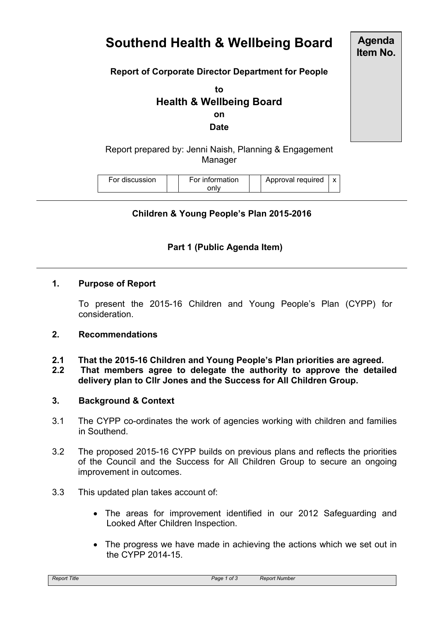# **Southend Health & Wellbeing Board**

**Agenda Item No.**

## **Report of Corporate Director Department for People**

**to Health & Wellbeing Board on**

**Date**

Report prepared by: Jenni Naish, Planning & Engagement **Manager** 

| For discussion | For information | Approval required | $\checkmark$ |
|----------------|-----------------|-------------------|--------------|
|                | onlv            |                   |              |

## **Children & Young People's Plan 2015-2016**

# **Part 1 (Public Agenda Item)**

#### **1. Purpose of Report**

To present the 2015-16 Children and Young People's Plan (CYPP) for consideration.

#### **2. Recommendations**

**2.1 That the 2015-16 Children and Young People's Plan priorities are agreed. 2.2 That members agree to delegate the authority to approve the detailed delivery plan to Cllr Jones and the Success for All Children Group.**

#### **3. Background & Context**

- 3.1 The CYPP co-ordinates the work of agencies working with children and families in Southend.
- 3.2 The proposed 2015-16 CYPP builds on previous plans and reflects the priorities of the Council and the Success for All Children Group to secure an ongoing improvement in outcomes.
- 3.3 This updated plan takes account of:
	- The areas for improvement identified in our 2012 Safeguarding and Looked After Children Inspection.
	- The progress we have made in achieving the actions which we set out in the CYPP 2014-15.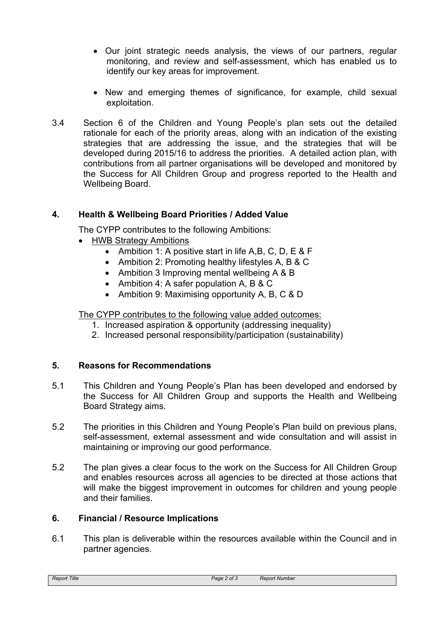- Our joint strategic needs analysis, the views of our partners, regular monitoring, and review and self-assessment, which has enabled us to identify our key areas for improvement.
- New and emerging themes of significance, for example, child sexual exploitation.
- 3.4 Section 6 of the Children and Young People's plan sets out the detailed rationale for each of the priority areas, along with an indication of the existing strategies that are addressing the issue, and the strategies that will be developed during 2015/16 to address the priorities. A detailed action plan, with contributions from all partner organisations will be developed and monitored by the Success for All Children Group and progress reported to the Health and Wellbeing Board.

# **4. Health & Wellbeing Board Priorities / Added Value**

The CYPP contributes to the following Ambitions:

- HWB Strategy Ambitions
	- Ambition 1: A positive start in life A, B, C, D, E & F
	- Ambition 2: Promoting healthy lifestyles A, B & C
	- Ambition 3 Improving mental wellbeing A & B
	- Ambition 4: A safer population A, B & C
	- Ambition 9: Maximising opportunity A, B, C & D

The CYPP contributes to the following value added outcomes:

- 1. Increased aspiration & opportunity (addressing inequality)
- 2. Increased personal responsibility/participation (sustainability)

#### **5. Reasons for Recommendations**

- 5.1 This Children and Young People's Plan has been developed and endorsed by the Success for All Children Group and supports the Health and Wellbeing Board Strategy aims.
- 5.2 The priorities in this Children and Young People's Plan build on previous plans, self-assessment, external assessment and wide consultation and will assist in maintaining or improving our good performance.
- 5.2 The plan gives a clear focus to the work on the Success for All Children Group and enables resources across all agencies to be directed at those actions that will make the biggest improvement in outcomes for children and young people and their families.

#### **6. Financial / Resource Implications**

6.1 This plan is deliverable within the resources available within the Council and in partner agencies.